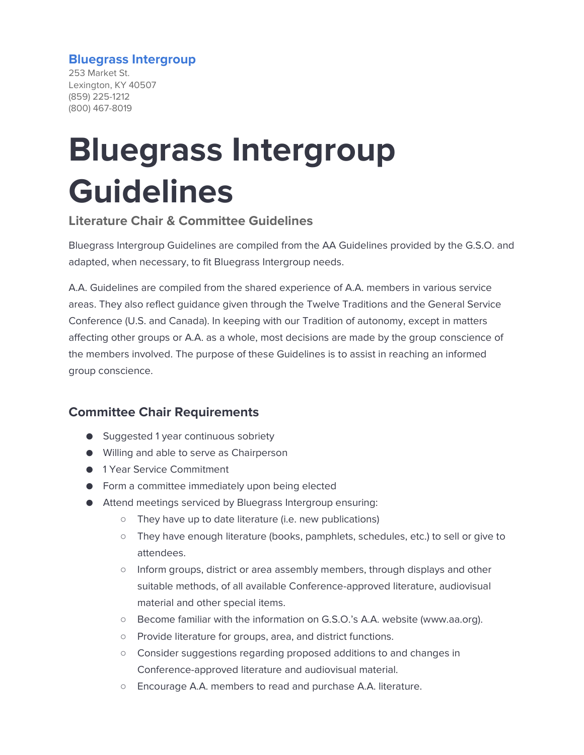#### **Bluegrass Intergroup**

253 Market St. Lexington, KY 40507 (859) 225-1212 (800) 467-8019

# **Bluegrass Intergroup Guidelines**

#### **Literature Chair & Committee Guidelines**

Bluegrass Intergroup Guidelines are compiled from the AA Guidelines provided by the G.S.O. and adapted, when necessary, to fit Bluegrass Intergroup needs.

A.A. Guidelines are compiled from the shared experience of A.A. members in various service areas. They also reflect guidance given through the Twelve Traditions and the General Service Conference (U.S. and Canada). In keeping with our Tradition of autonomy, except in matters affecting other groups or A.A. as a whole, most decisions are made by the group conscience of the members involved. The purpose of these Guidelines is to assist in reaching an informed group conscience.

# **Committee Chair Requirements**

- Suggested 1 year continuous sobriety
- Willing and able to serve as Chairperson
- 1 Year Service Commitment
- Form a committee immediately upon being elected
- Attend meetings serviced by Bluegrass Intergroup ensuring:
	- They have up to date literature (i.e. new publications)
	- They have enough literature (books, pamphlets, schedules, etc.) to sell or give to attendees.
	- Inform groups, district or area assembly members, through displays and other suitable methods, of all available Conference-approved literature, audiovisual material and other special items.
	- Become familiar with the information on G.S.O.'s A.A. website (www.aa.org).
	- Provide literature for groups, area, and district functions.
	- Consider suggestions regarding proposed additions to and changes in Conference-approved literature and audiovisual material.
	- Encourage A.A. members to read and purchase A.A. literature.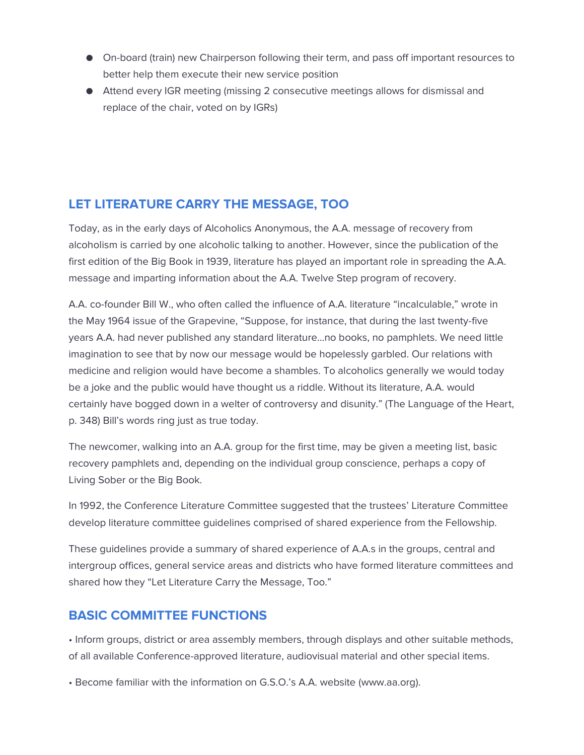- On-board (train) new Chairperson following their term, and pass off important resources to better help them execute their new service position
- Attend every IGR meeting (missing 2 consecutive meetings allows for dismissal and replace of the chair, voted on by IGRs)

# **LET LITERATURE CARRY THE MESSAGE, TOO**

Today, as in the early days of Alcoholics Anonymous, the A.A. message of recovery from alcoholism is carried by one alcoholic talking to another. However, since the publication of the first edition of the Big Book in 1939, literature has played an important role in spreading the A.A. message and imparting information about the A.A. Twelve Step program of recovery.

A.A. co-founder Bill W., who often called the influence of A.A. literature "incalculable," wrote in the May 1964 issue of the Grapevine, "Suppose, for instance, that during the last twenty-five years A.A. had never published any standard literature…no books, no pamphlets. We need little imagination to see that by now our message would be hopelessly garbled. Our relations with medicine and religion would have become a shambles. To alcoholics generally we would today be a joke and the public would have thought us a riddle. Without its literature, A.A. would certainly have bogged down in a welter of controversy and disunity." (The Language of the Heart, p. 348) Bill's words ring just as true today.

The newcomer, walking into an A.A. group for the first time, may be given a meeting list, basic recovery pamphlets and, depending on the individual group conscience, perhaps a copy of Living Sober or the Big Book.

In 1992, the Conference Literature Committee suggested that the trustees' Literature Committee develop literature committee guidelines comprised of shared experience from the Fellowship.

These guidelines provide a summary of shared experience of A.A.s in the groups, central and intergroup offices, general service areas and districts who have formed literature committees and shared how they "Let Literature Carry the Message, Too."

# **BASIC COMMITTEE FUNCTIONS**

• Inform groups, district or area assembly members, through displays and other suitable methods, of all available Conference-approved literature, audiovisual material and other special items.

• Become familiar with the information on G.S.O.'s A.A. website (www.aa.org).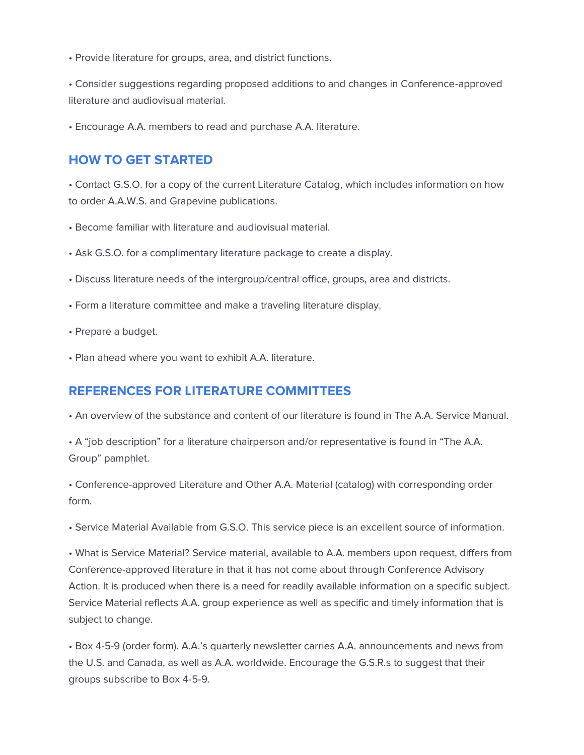• Provide literature for groups, area, and district functions.

• Consider suggestions regarding proposed additions to and changes in Conference-approved literature and audiovisual material.

• Encourage A.A. members to read and purchase A.A. literature.

#### **HOW TO GET STARTED**

• Contact G.S.O. for a copy of the current Literature Catalog, which includes information on how to order A.A.W.S. and Grapevine publications.

- Become familiar with literature and audiovisual material.
- Ask G.S.O. for a complimentary literature package to create a display.
- Discuss literature needs of the intergroup/central office, groups, area and districts.
- Form a literature committee and make a traveling literature display.
- Prepare a budget.
- Plan ahead where you want to exhibit A.A. literature.

#### **REFERENCES FOR LITERATURE COMMITTEES**

• An overview of the substance and content of our literature is found in The A.A. Service Manual.

• A "job description" for a literature chairperson and/or representative is found in "The A.A. Group" pamphlet.

• Conference-approved Literature and Other A.A. Material (catalog) with corresponding order form.

• Service Material Available from G.S.O. This service piece is an excellent source of information.

• What is Service Material? Service material, available to A.A. members upon request, differs from Conference-approved literature in that it has not come about through Conference Advisory Action. It is produced when there is a need for readily available information on a specific subject. Service Material reflects A.A. group experience as well as specific and timely information that is subject to change.

• Box 4-5-9 (order form). A.A.'s quarterly newsletter carries A.A. announcements and news from the U.S. and Canada, as well as A.A. worldwide. Encourage the G.S.R.s to suggest that their groups subscribe to Box 4-5-9.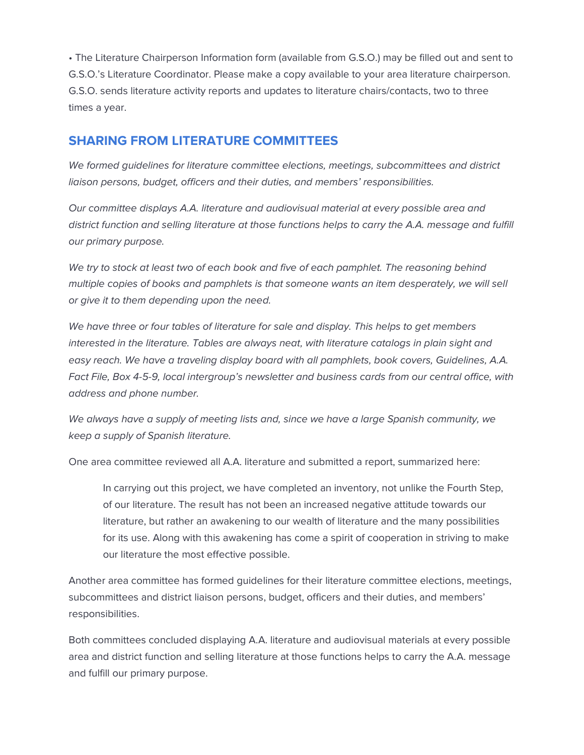• The Literature Chairperson Information form (available from G.S.O.) may be filled out and sent to G.S.O.'s Literature Coordinator. Please make a copy available to your area literature chairperson. G.S.O. sends literature activity reports and updates to literature chairs/contacts, two to three times a year.

#### **SHARING FROM LITERATURE COMMITTEES**

*We formed guidelines for literature committee elections, meetings, subcommittees and district liaison persons, budget, officers and their duties, and members' responsibilities.* 

*Our committee displays A.A. literature and audiovisual material at every possible area and district function and selling literature at those functions helps to carry the A.A. message and fulfill our primary purpose.* 

*We try to stock at least two of each book and five of each pamphlet. The reasoning behind multiple copies of books and pamphlets is that someone wants an item desperately, we will sell or give it to them depending upon the need.* 

*We have three or four tables of literature for sale and display. This helps to get members*  interested in the literature. Tables are always neat, with literature catalogs in plain sight and *easy reach. We have a traveling display board with all pamphlets, book covers, Guidelines, A.A. Fact File, Box 4-5-9, local intergroup's newsletter and business cards from our central office, with address and phone number.* 

*We always have a supply of meeting lists and, since we have a large Spanish community, we keep a supply of Spanish literature.* 

One area committee reviewed all A.A. literature and submitted a report, summarized here:

In carrying out this project, we have completed an inventory, not unlike the Fourth Step, of our literature. The result has not been an increased negative attitude towards our literature, but rather an awakening to our wealth of literature and the many possibilities for its use. Along with this awakening has come a spirit of cooperation in striving to make our literature the most effective possible.

Another area committee has formed guidelines for their literature committee elections, meetings, subcommittees and district liaison persons, budget, officers and their duties, and members' responsibilities.

Both committees concluded displaying A.A. literature and audiovisual materials at every possible area and district function and selling literature at those functions helps to carry the A.A. message and fulfill our primary purpose.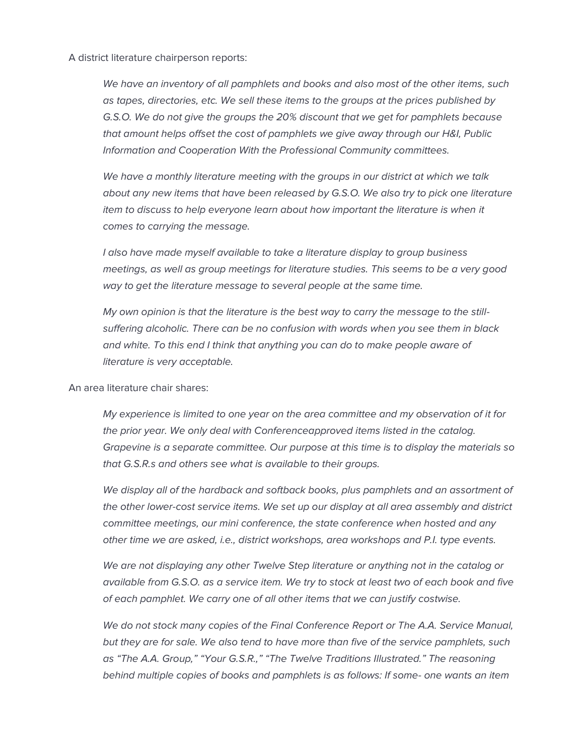A district literature chairperson reports:

*We have an inventory of all pamphlets and books and also most of the other items, such as tapes, directories, etc. We sell these items to the groups at the prices published by G.S.O. We do not give the groups the 20% discount that we get for pamphlets because that amount helps offset the cost of pamphlets we give away through our H&I, Public Information and Cooperation With the Professional Community committees.* 

*We have a monthly literature meeting with the groups in our district at which we talk about any new items that have been released by G.S.O. We also try to pick one literature item to discuss to help everyone learn about how important the literature is when it comes to carrying the message.* 

*I also have made myself available to take a literature display to group business meetings, as well as group meetings for literature studies. This seems to be a very good way to get the literature message to several people at the same time.* 

*My own opinion is that the literature is the best way to carry the message to the stillsuffering alcoholic. There can be no confusion with words when you see them in black and white. To this end I think that anything you can do to make people aware of literature is very acceptable.* 

An area literature chair shares:

*My experience is limited to one year on the area committee and my observation of it for the prior year. We only deal with Conferenceapproved items listed in the catalog. Grapevine is a separate committee. Our purpose at this time is to display the materials so that G.S.R.s and others see what is available to their groups.* 

*We display all of the hardback and softback books, plus pamphlets and an assortment of the other lower-cost service items. We set up our display at all area assembly and district committee meetings, our mini conference, the state conference when hosted and any other time we are asked, i.e., district workshops, area workshops and P.I. type events.* 

*We are not displaying any other Twelve Step literature or anything not in the catalog or available from G.S.O. as a service item. We try to stock at least two of each book and five of each pamphlet. We carry one of all other items that we can justify costwise.* 

We do not stock many copies of the Final Conference Report or The A.A. Service Manual, *but they are for sale. We also tend to have more than five of the service pamphlets, such as "The A.A. Group," "Your G.S.R.," "The Twelve Traditions Illustrated." The reasoning behind multiple copies of books and pamphlets is as follows: If some- one wants an item*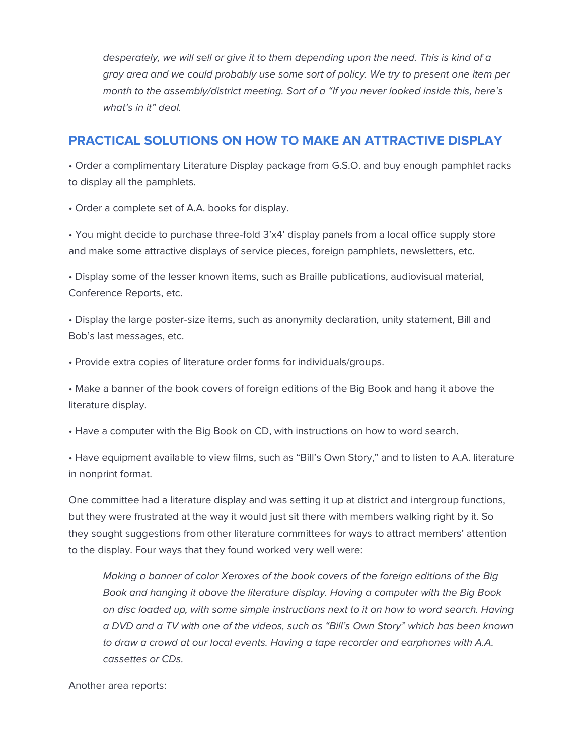*desperately, we will sell or give it to them depending upon the need. This is kind of a gray area and we could probably use some sort of policy. We try to present one item per month to the assembly/district meeting. Sort of a "If you never looked inside this, here's what's in it" deal.*

#### **PRACTICAL SOLUTIONS ON HOW TO MAKE AN ATTRACTIVE DISPLAY**

• Order a complimentary Literature Display package from G.S.O. and buy enough pamphlet racks to display all the pamphlets.

• Order a complete set of A.A. books for display.

• You might decide to purchase three-fold 3'x4' display panels from a local office supply store and make some attractive displays of service pieces, foreign pamphlets, newsletters, etc.

• Display some of the lesser known items, such as Braille publications, audiovisual material, Conference Reports, etc.

• Display the large poster-size items, such as anonymity declaration, unity statement, Bill and Bob's last messages, etc.

• Provide extra copies of literature order forms for individuals/groups.

• Make a banner of the book covers of foreign editions of the Big Book and hang it above the literature display.

• Have a computer with the Big Book on CD, with instructions on how to word search.

• Have equipment available to view films, such as "Bill's Own Story," and to listen to A.A. literature in nonprint format.

One committee had a literature display and was setting it up at district and intergroup functions, but they were frustrated at the way it would just sit there with members walking right by it. So they sought suggestions from other literature committees for ways to attract members' attention to the display. Four ways that they found worked very well were:

*Making a banner of color Xeroxes of the book covers of the foreign editions of the Big Book and hanging it above the literature display. Having a computer with the Big Book on disc loaded up, with some simple instructions next to it on how to word search. Having a DVD and a TV with one of the videos, such as "Bill's Own Story" which has been known*  to draw a crowd at our local events. Having a tape recorder and earphones with A.A. *cassettes or CDs.* 

Another area reports: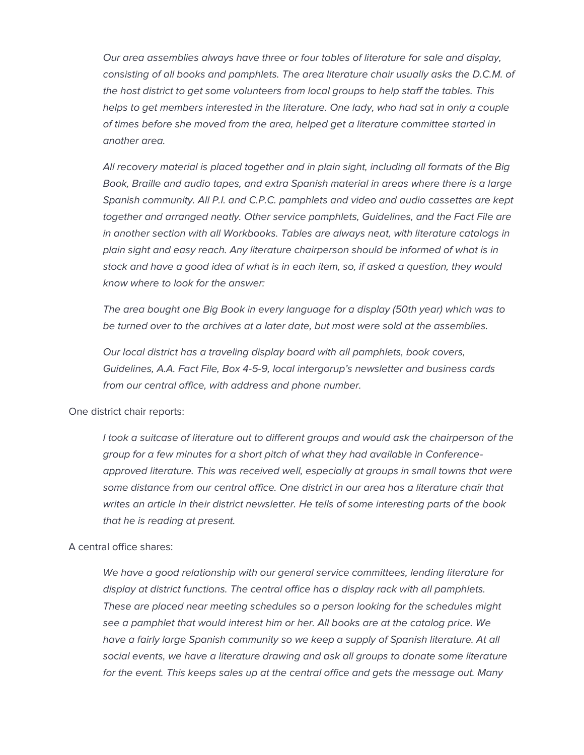*Our area assemblies always have three or four tables of literature for sale and display,*  consisting of all books and pamphlets. The area literature chair usually asks the D.C.M. of *the host district to get some volunteers from local groups to help staff the tables. This helps to get members interested in the literature. One lady, who had sat in only a couple of times before she moved from the area, helped get a literature committee started in another area.* 

*All recovery material is placed together and in plain sight, including all formats of the Big Book, Braille and audio tapes, and extra Spanish material in areas where there is a large Spanish community. All P.I. and C.P.C. pamphlets and video and audio cassettes are kept together and arranged neatly. Other service pamphlets, Guidelines, and the Fact File are in another section with all Workbooks. Tables are always neat, with literature catalogs in plain sight and easy reach. Any literature chairperson should be informed of what is in stock and have a good idea of what is in each item, so, if asked a question, they would know where to look for the answer:* 

*The area bought one Big Book in every language for a display (50th year) which was to be turned over to the archives at a later date, but most were sold at the assemblies.* 

*Our local district has a traveling display board with all pamphlets, book covers, Guidelines, A.A. Fact File, Box 4-5-9, local intergorup's newsletter and business cards from our central office, with address and phone number.* 

One district chair reports:

*I took a suitcase of literature out to different groups and would ask the chairperson of the group for a few minutes for a short pitch of what they had available in Conferenceapproved literature. This was received well, especially at groups in small towns that were*  some distance from our central office. One district in our area has a literature chair that *writes an article in their district newsletter. He tells of some interesting parts of the book that he is reading at present.* 

A central office shares:

*We have a good relationship with our general service committees, lending literature for display at district functions. The central office has a display rack with all pamphlets. These are placed near meeting schedules so a person looking for the schedules might see a pamphlet that would interest him or her. All books are at the catalog price. We*  have a fairly large Spanish community so we keep a supply of Spanish literature. At all *social events, we have a literature drawing and ask all groups to donate some literature for the event. This keeps sales up at the central office and gets the message out. Many*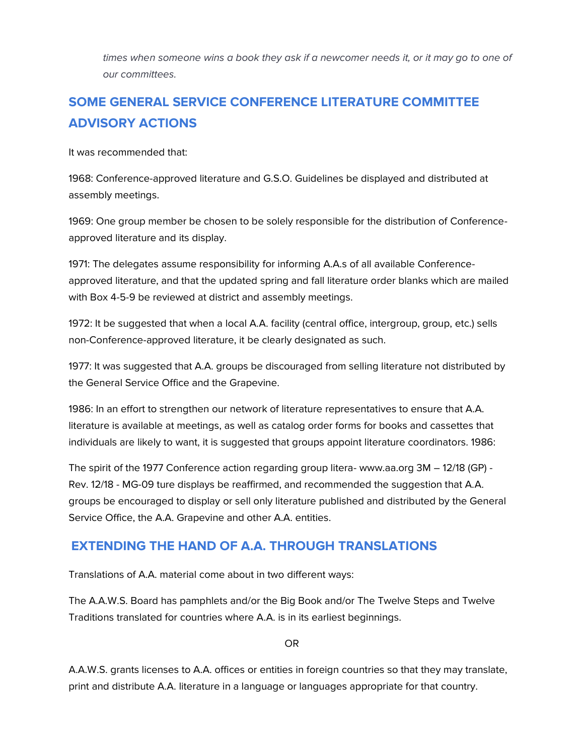times when someone wins a book they ask if a newcomer needs it, or it may go to one of *our committees.*

# **SOME GENERAL SERVICE CONFERENCE LITERATURE COMMITTEE ADVISORY ACTIONS**

It was recommended that:

1968: Conference-approved literature and G.S.O. Guidelines be displayed and distributed at assembly meetings.

1969: One group member be chosen to be solely responsible for the distribution of Conferenceapproved literature and its display.

1971: The delegates assume responsibility for informing A.A.s of all available Conferenceapproved literature, and that the updated spring and fall literature order blanks which are mailed with Box 4-5-9 be reviewed at district and assembly meetings.

1972: It be suggested that when a local A.A. facility (central office, intergroup, group, etc.) sells non-Conference-approved literature, it be clearly designated as such.

1977: It was suggested that A.A. groups be discouraged from selling literature not distributed by the General Service Office and the Grapevine.

1986: In an effort to strengthen our network of literature representatives to ensure that A.A. literature is available at meetings, as well as catalog order forms for books and cassettes that individuals are likely to want, it is suggested that groups appoint literature coordinators. 1986:

The spirit of the 1977 Conference action regarding group litera- www.aa.org 3M – 12/18 (GP) - Rev. 12/18 - MG-09 ture displays be reaffirmed, and recommended the suggestion that A.A. groups be encouraged to display or sell only literature published and distributed by the General Service Office, the A.A. Grapevine and other A.A. entities.

# **EXTENDING THE HAND OF A.A. THROUGH TRANSLATIONS**

Translations of A.A. material come about in two different ways:

The A.A.W.S. Board has pamphlets and/or the Big Book and/or The Twelve Steps and Twelve Traditions translated for countries where A.A. is in its earliest beginnings.

OR

A.A.W.S. grants licenses to A.A. offices or entities in foreign countries so that they may translate, print and distribute A.A. literature in a language or languages appropriate for that country.